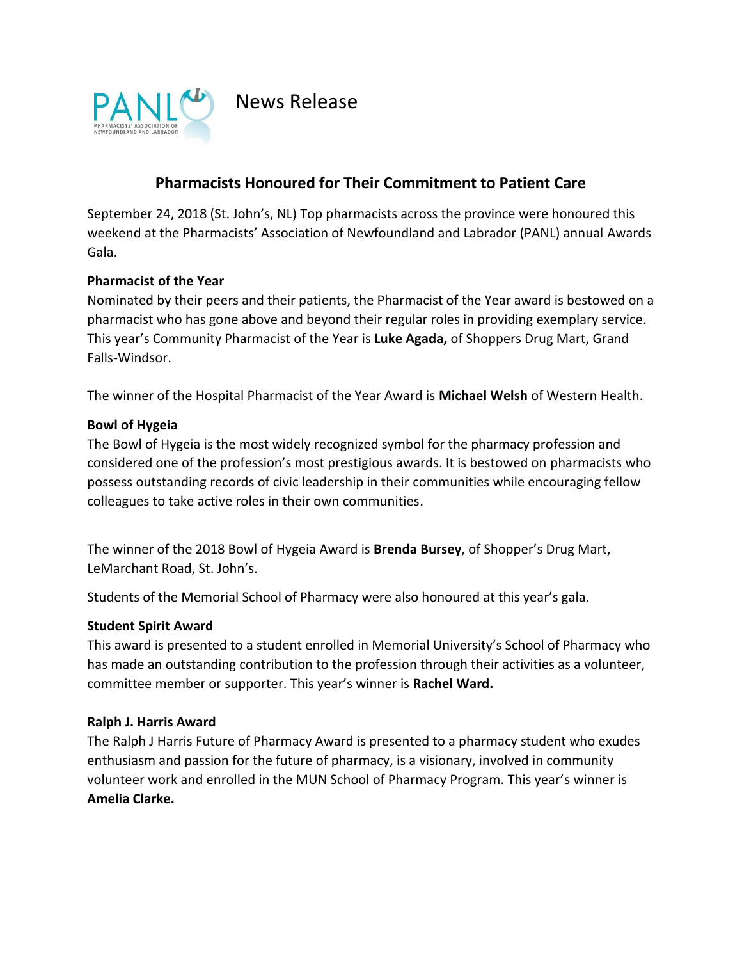

News Release

# **Pharmacists Honoured for Their Commitment to Patient Care**

September 24, 2018 (St. John's, NL) Top pharmacists across the province were honoured this weekend at the Pharmacists' Association of Newfoundland and Labrador (PANL) annual Awards Gala.

## **Pharmacist of the Year**

Nominated by their peers and their patients, the Pharmacist of the Year award is bestowed on a pharmacist who has gone above and beyond their regular roles in providing exemplary service. This year's Community Pharmacist of the Year is **Luke Agada,** of Shoppers Drug Mart, Grand Falls-Windsor.

The winner of the Hospital Pharmacist of the Year Award is **Michael Welsh** of Western Health.

## **Bowl of Hygeia**

The Bowl of Hygeia is the most widely recognized symbol for the pharmacy profession and considered one of the profession's most prestigious awards. It is bestowed on pharmacists who possess outstanding records of civic leadership in their communities while encouraging fellow colleagues to take active roles in their own communities.

The winner of the 2018 Bowl of Hygeia Award is **Brenda Bursey**, of Shopper's Drug Mart, LeMarchant Road, St. John's.

Students of the Memorial School of Pharmacy were also honoured at this year's gala.

#### **Student Spirit Award**

This award is presented to a student enrolled in Memorial University's School of Pharmacy who has made an outstanding contribution to the profession through their activities as a volunteer, committee member or supporter. This year's winner is **Rachel Ward.**

#### **Ralph J. Harris Award**

The Ralph J Harris Future of Pharmacy Award is presented to a pharmacy student who exudes enthusiasm and passion for the future of pharmacy, is a visionary, involved in community volunteer work and enrolled in the MUN School of Pharmacy Program. This year's winner is **Amelia Clarke.**